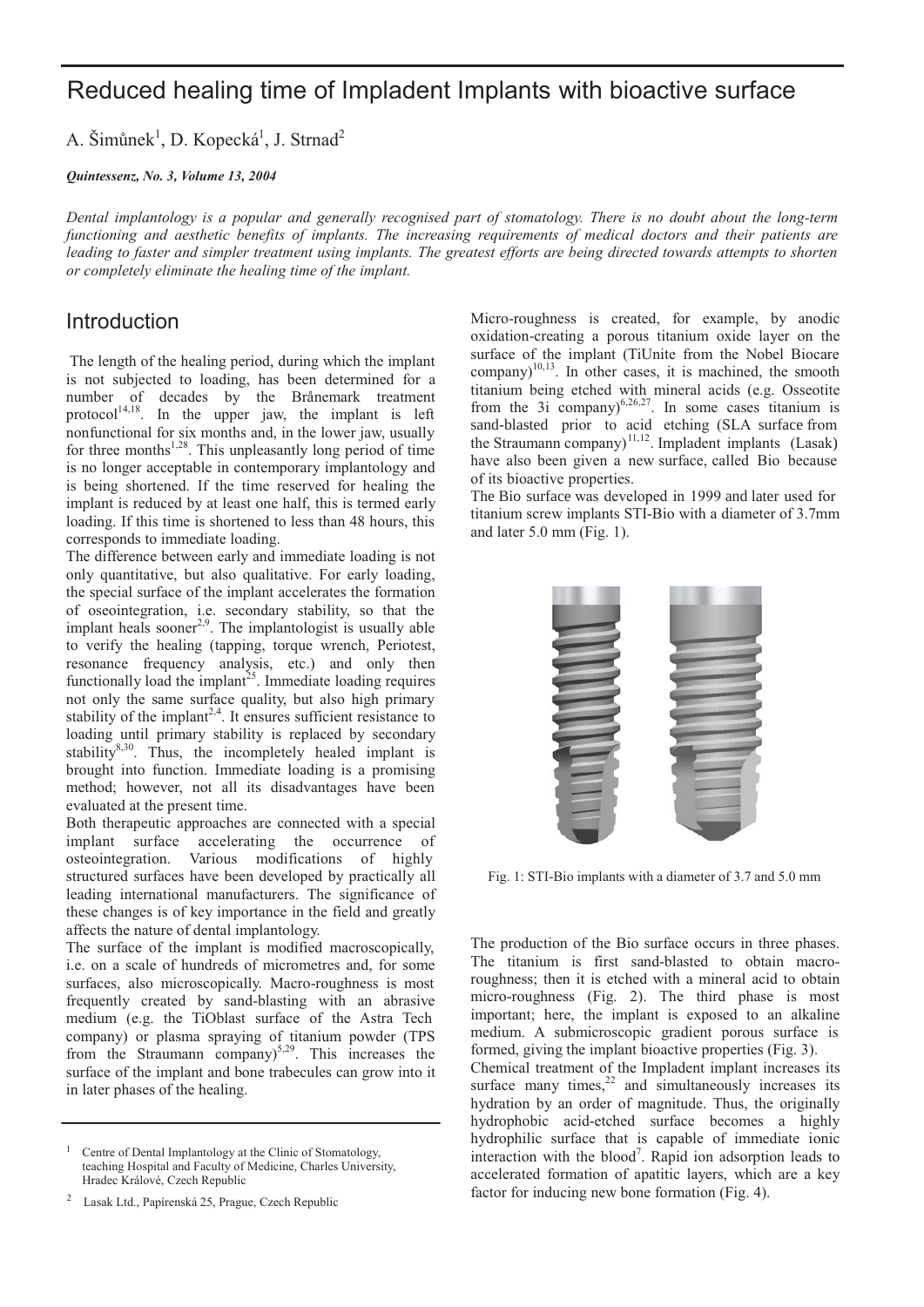# Reduced healing time of Impladent Implants with bioactive surface

A. Šimůnek<sup>1</sup>, D. Kopecká<sup>1</sup>, J. Strnad<sup>2</sup>

*Quintessenz, No. 3, Volume 13, 2004*

*Dental implantology is a popular and generally recognised part of stomatology. There is no doubt about the long-term functioning and aesthetic benefits of implants. The increasing requirements of medical doctors and their patients are leading to faster and simpler treatment using implants. The greatest efforts are being directed towards attempts to shorten or completely eliminate the healing time of the implant.*

#### **Introduction**

The length of the healing period, during which the implant is not subjected to loading, has been determined for a number of decades by the Brånemark treatment protocol<sup>14,18</sup>. In the upper jaw, the implant is left nonfunctional for six months and, in the lower jaw, usually for three months $1,28$ . This unpleasantly long period of time is no longer acceptable in contemporary implantology and is being shortened. If the time reserved for healing the implant is reduced by at least one half, this is termed early loading. If this time is shortened to less than 48 hours, this corresponds to immediate loading.

The difference between early and immediate loading is not only quantitative, but also qualitative. For early loading, the special surface of the implant accelerates the formation of oseointegration, i.e. secondary stability, so that the implant heals sooner<sup>2,9</sup>. The implantologist is usually able to verify the healing (tapping, torque wrench, Periotest, resonance frequency analysis, etc.) and only then functionally load the implant<sup>25</sup>. Immediate loading requires not only the same surface quality, but also high primary stability of the implant<sup>2,4</sup>. It ensures sufficient resistance to loading until primary stability is replaced by secondary stability $8,30$ . Thus, the incompletely healed implant is brought into function. Immediate loading is a promising method; however, not all its disadvantages have been evaluated at the present time.

Both therapeutic approaches are connected with a special implant surface accelerating the occurrence of osteointegration. Various modifications of highly structured surfaces have been developed by practically all leading international manufacturers. The significance of these changes is of key importance in the field and greatly affects the nature of dental implantology.

The surface of the implant is modified macroscopically, i.e. on a scale of hundreds of micrometres and, for some surfaces, also microscopically. Macro-roughness is most frequently created by sand-blasting with an abrasive medium (e.g. the TiOblast surface of the Astra Tech company) or plasma spraying of titanium powder (TPS from the Straumann company)<sup>5,29</sup>. This increases the surface of the implant and bone trabecules can grow into it in later phases of the healing.

Micro-roughness is created, for example, by anodic oxidation-creating a porous titanium oxide layer on the surface of the implant (TiUnite from the Nobel Biocare  $\text{company}$ <sup>10,13</sup>. In other cases, it is machined, the smooth titanium being etched with mineral acids (e.g. Osseotite from the 3i company) $^{6,26,27}$ . In some cases titanium is sand-blasted prior to acid etching (SLA surface from the Straumann company)<sup>11,12</sup>. Impladent implants (Lasak) have also been given a new surface, called Bio because of its bioactive properties.

The Bio surface was developed in 1999 and later used for titanium screw implants STI-Bio with a diameter of 3.7mm and later 5.0 mm (Fig. 1).



Fig. 1: STI-Bio implants with a diameter of 3.7 and 5.0 mm

The production of the Bio surface occurs in three phases. The titanium is first sand-blasted to obtain macroroughness; then it is etched with a mineral acid to obtain micro-roughness (Fig. 2). The third phase is most important; here, the implant is exposed to an alkaline medium. A submicroscopic gradient porous surface is formed, giving the implant bioactive properties (Fig. 3).

Chemical treatment of the Impladent implant increases its surface many times, $22$  and simultaneously increases its hydration by an order of magnitude. Thus, the originally hydrophobic acid-etched surface becomes a highly hydrophilic surface that is capable of immediate ionic interaction with the blood<sup>7</sup>. Rapid ion adsorption leads to accelerated formation of apatitic layers, which are a key factor for inducing new bone formation (Fig. 4).

<sup>1</sup> Centre of Dental Implantology at the Clinic of Stomatology, teaching Hospital and Faculty of Medicine, Charles University, Hradec Králové, Czech Republic

<sup>&</sup>lt;sup>2</sup> Lasak Ltd., Papírenská 25, Prague, Czech Republic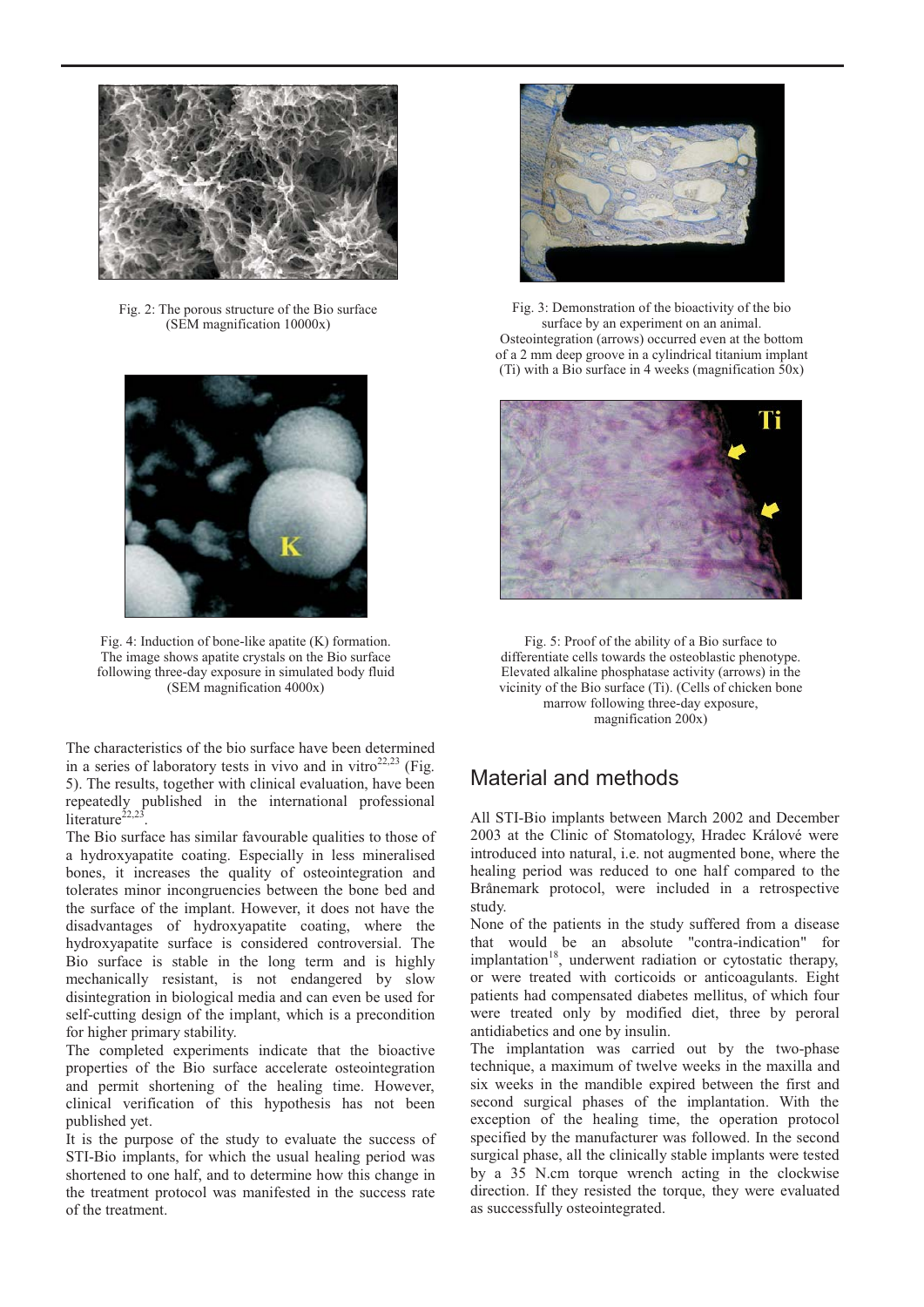

Fig. 2: The porous structure of the Bio surface (SEM magnification 10000x)



Fig. 4: Induction of bone-like apatite (K) formation. Fig. 5: Proof of the ability of a Bio surface to The image shows apatite crystals on the Bio surface following three-day exposure in simulated body fluid (SEM magnification 4000x)

The characteristics of the bio surface have been determined in a series of laboratory tests in vivo and in vitro $22,23$  (Fig. 5). The results, together with clinical evaluation, have been repeatedly published in the international professional literature $^{22,23}$ 

The Bio surface has similar favourable qualities to those of a hydroxyapatite coating. Especially in less mineralised bones, it increases the quality of osteointegration and tolerates minor incongruencies between the bone bed and the surface of the implant. However, it does not have the disadvantages of hydroxyapatite coating, where the hydroxyapatite surface is considered controversial. The Bio surface is stable in the long term and is highly mechanically resistant, is not endangered by slow disintegration in biological media and can even be used for self-cutting design of the implant, which is a precondition for higher primary stability.

The completed experiments indicate that the bioactive properties of the Bio surface accelerate osteointegration and permit shortening of the healing time. However, clinical verification of this hypothesis has not been published yet.

It is the purpose of the study to evaluate the success of STI-Bio implants, for which the usual healing period was shortened to one half, and to determine how this change in the treatment protocol was manifested in the success rate of the treatment.



Fig. 3: Demonstration of the bioactivity of the bio surface by an experiment on an animal. Osteointegration (arrows) occurred even at the bottom of a 2 mm deep groove in a cylindrical titanium implant (Ti) with a Bio surface in 4 weeks (magnification 50x)



differentiate cells towards the osteoblastic phenotype. Elevated alkaline phosphatase activity (arrows) in the vicinity of the Bio surface (Ti). (Cells of chicken bone marrow following three-day exposure, magnification 200x) Fig. 5: Proof of the ability of a Bio surface to

## Material and methods

All STI-Bio implants between March 2002 and December 2003 at the Clinic of Stomatology, Hradec Králové were introduced into natural, i.e. not augmented bone, where the healing period was reduced to one half compared to the Brånemark protocol, were included in a retrospective study.

None of the patients in the study suffered from a disease that would be an absolute "contra-indication" for implantation<sup>18</sup>, underwent radiation or cytostatic therapy, or were treated with corticoids or anticoagulants. Eight patients had compensated diabetes mellitus, of which four were treated only by modified diet, three by peroral antidiabetics and one by insulin.

The implantation was carried out by the two-phase technique, a maximum of twelve weeks in the maxilla and six weeks in the mandible expired between the first and second surgical phases of the implantation. With the exception of the healing time, the operation protocol specified by the manufacturer was followed. In the second surgical phase, all the clinically stable implants were tested by a 35 N.cm torque wrench acting in the clockwise direction. If they resisted the torque, they were evaluated as successfully osteointegrated.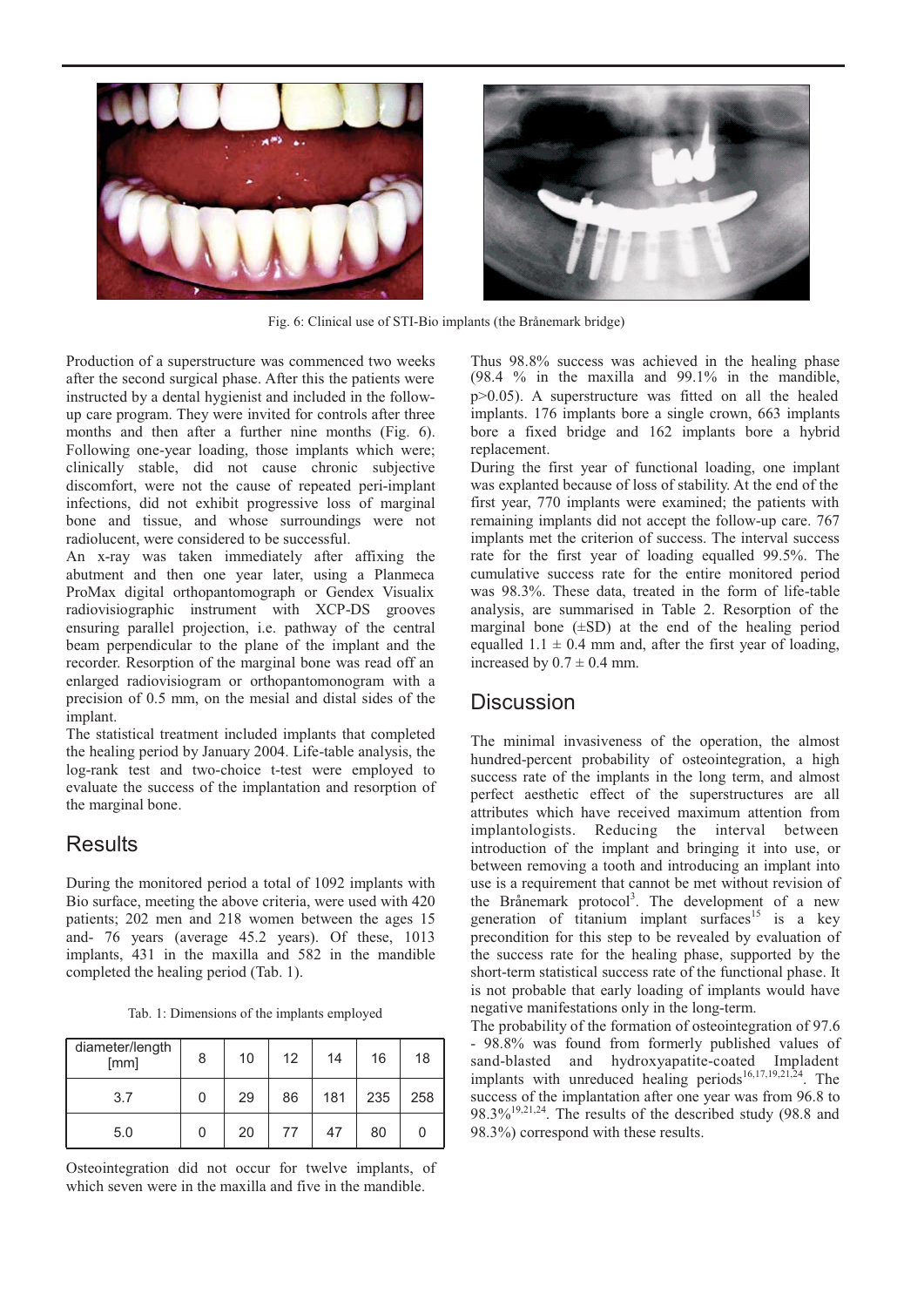



Fig. 6: Clinical use of STI-Bio implants (the Brånemark bridge)

Production of a superstructure was commenced two weeks after the second surgical phase. After this the patients were instructed by a dental hygienist and included in the followup care program. They were invited for controls after three months and then after a further nine months (Fig. 6). Following one-year loading, those implants which were; clinically stable, did not cause chronic subjective discomfort, were not the cause of repeated peri-implant infections, did not exhibit progressive loss of marginal bone and tissue, and whose surroundings were not radiolucent, were considered to be successful.

An x-ray was taken immediately after affixing the abutment and then one year later, using a Planmeca ProMax digital orthopantomograph or Gendex Visualix radiovisiographic instrument with XCP-DS grooves ensuring parallel projection, i.e. pathway of the central beam perpendicular to the plane of the implant and the recorder. Resorption of the marginal bone was read off an enlarged radiovisiogram or orthopantomonogram with a precision of 0.5 mm, on the mesial and distal sides of the implant.

The statistical treatment included implants that completed the healing period by January 2004. Life-table analysis, the log-rank test and two-choice t-test were employed to evaluate the success of the implantation and resorption of the marginal bone.

## **Results**

During the monitored period a total of 1092 implants with Bio surface, meeting the above criteria, were used with 420 patients; 202 men and 218 women between the ages 15 and- 76 years (average 45.2 years). Of these, 1013 implants, 431 in the maxilla and 582 in the mandible completed the healing period (Tab. 1).

Tab. 1: Dimensions of the implants employed

| diameter/length<br>[mm] | 8 | 10 | 12 | 14  | 16  | 18  |
|-------------------------|---|----|----|-----|-----|-----|
| 3.7                     | 0 | 29 | 86 | 181 | 235 | 258 |
| 5.0                     | 0 | 20 | 77 | 47  | 80  |     |

Osteointegration did not occur for twelve implants, of which seven were in the maxilla and five in the mandible.

Thus 98.8% success was achieved in the healing phase (98.4 % in the maxilla and 99.1% in the mandible, p>0.05). A superstructure was fitted on all the healed implants. 176 implants bore a single crown, 663 implants bore a fixed bridge and 162 implants bore a hybrid replacement.

During the first year of functional loading, one implant was explanted because of loss of stability. At the end of the first year, 770 implants were examined; the patients with remaining implants did not accept the follow-up care. 767 implants met the criterion of success. The interval success rate for the first year of loading equalled 99.5%. The cumulative success rate for the entire monitored period was 98.3%. These data, treated in the form of life-table analysis, are summarised in Table 2. Resorption of the marginal bone  $(\pm SD)$  at the end of the healing period equalled  $1.1 \pm 0.4$  mm and, after the first year of loading. increased by  $0.7 \pm 0.4$  mm.

### **Discussion**

The minimal invasiveness of the operation, the almost hundred-percent probability of osteointegration, a high success rate of the implants in the long term, and almost perfect aesthetic effect of the superstructures are all attributes which have received maximum attention from implantologists. Reducing the interval between introduction of the implant and bringing it into use, or between removing a tooth and introducing an implant into use is a requirement that cannot be met without revision of the Brånemark protocol<sup>3</sup>. The development of a new generation of titanium implant surfaces<sup>15</sup> is a key precondition for this step to be revealed by evaluation of the success rate for the healing phase, supported by the short-term statistical success rate of the functional phase. It is not probable that early loading of implants would have negative manifestations only in the long-term.

The probability of the formation of osteointegration of 97.6 - 98.8% was found from formerly published values of sand-blasted and hydroxyapatite-coated Impladent implants with unreduced healing periods<sup>16,17,19,21,24</sup>. The success of the implantation after one year was from 96.8 to  $98.3\%$ <sup>19,21,24</sup>. The results of the described study (98.8 and 98.3%) correspond with these results.